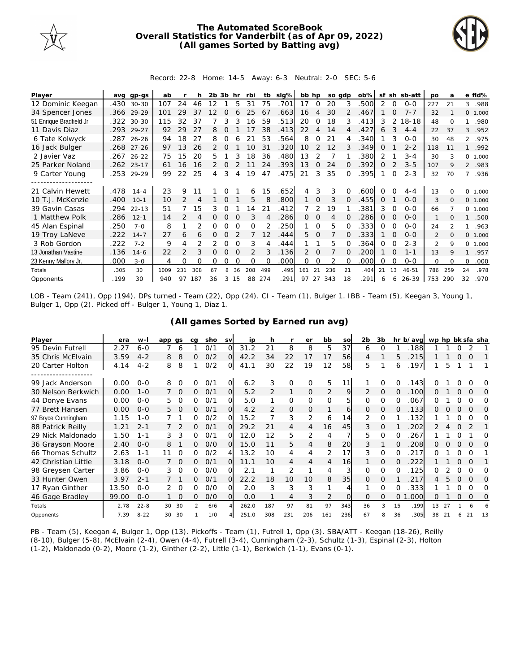

## **The Automated ScoreBook Overall Statistics for Vanderbilt (as of Apr 09, 2022) (All games Sorted by Batting avg)**



## Record: 22-8 Home: 14-5 Away: 6-3 Neutral: 2-0 SEC: 5-6

| Player                  | avq  | $qp-qs$    | ab   |               |     | 2b. | .3b      | hr | rbi      | tb  | slg% | bb hp          |             | so adp |    | $ob\%$ | sf       |          | sh sb-att | po             | a        |          | e fld%  |
|-------------------------|------|------------|------|---------------|-----|-----|----------|----|----------|-----|------|----------------|-------------|--------|----|--------|----------|----------|-----------|----------------|----------|----------|---------|
| 12 Dominic Keegan       | .430 | $30 - 30$  | 107  | 24            | 46  | 12  |          | 5  | 31       | 75  | .701 | 17             | 0           | 20     | 3  | .500   | 2        | 0        | $0 - 0$   | 227            | 21       | 3        | .988    |
| 34 Spencer Jones        |      | .366 29-29 | 101  | 29            | 37  | 12  | O        |    | 25       | 67  | .663 | 16             | 4           | 30     |    | .467   |          | $\Omega$ | $7 - 7$   | 32             |          |          | 0 1.000 |
| 51 Enrique Bradfield Jr | .322 | $30 - 30$  | 115  | 32            | 37  |     |          |    | 16       | 59  | .513 | 20             | $\Omega$    | 18     | 3  | .413   | 3        | 2        | 18-18     | 48             | $\Omega$ |          | .980    |
| 11 Davis Diaz           | .293 | $29 - 27$  | 92   | 29            | 27  | 8   |          |    |          | 38  | .413 | 22             | 4           | 14     | 4  | .427   | 6        | 3        | $4 - 4$   | 22             | 37       | 3        | .952    |
| 6 Tate Kolwyck          |      | .287 26-26 | 94   | 18            | 27  | 8   | Ω        |    | 21       | 53  | .564 | 8              | 0           | 21     |    | .340   |          | 3        | $O-O$     | 30             | 48       |          | 2 .975  |
| 16 Jack Bulger          | .268 | $27 - 26$  | 97   | 13            | 26  |     |          |    | 10       | 31  | 320  | 10             | 2           | 12     |    | .349   | $\Omega$ |          | $2 - 2$   | 118            | 11       |          | .992    |
| 2 Javier Vaz            | .267 | $26 - 22$  | 75   | 15            | 20  | 5   |          |    | 18       | 36  | .480 | 13             | 2           |        |    | .380   | 2        |          | $3 - 4$   | 30             | 3        |          | 0 1.000 |
| 25 Parker Noland        |      | .262 23-17 | 61   | 16            | 16  | 2   | $\Omega$ |    |          | 24  | .393 | 13             | 0           | 24     | O  | .392   | $\Omega$ |          | $3 - 5$   | 107            | 9        |          | 2 .983  |
| 9 Carter Young          | .253 | 29-29      | 99   | 22            | 25  | 4   | 3        | 4  | 19       | 47  | .475 | 21             | 3           | 35     | 0  | .395   |          | 0        | $2 - 3$   | 32             | 70       | 7        | .936    |
|                         |      |            |      |               |     |     |          |    |          |     |      |                |             |        |    |        |          |          |           |                |          |          |         |
| 21 Calvin Hewett        | .478 | $14 - 4$   | 23   | 9             |     |     |          |    | 6        | 15  | .652 | 4              | 3           | 3      |    | .600   | $\Omega$ |          | $4 - 4$   | 13             |          | $\Omega$ | 1.000   |
| 10 T.J. McKenzie        | .400 | $10-1$     | 10   |               | 4   |     | 0        |    | 5        | 8   | .800 |                | $\mathbf 0$ | 3      | 0  | .455   | 0        |          | $0 - 0$   | 3              | $\Omega$ |          | 0 1.000 |
| 39 Gavin Casas          | .294 | $22 - 13$  | 51   |               | 15  | 3   | 0        |    | 14       | 21  | 412  |                | 2           | 19     |    | .381   | 3        | 0        | $0 - 0$   | 66             |          |          | 0 1.000 |
| 1 Matthew Polk          | .286 | $12 - 1$   | 14   |               | 4   |     | O        |    |          |     | .286 | 0              | 0           | 4      |    | 286    | 0        |          | $0 - 0$   | $\mathbf{1}$   |          |          | .500    |
| 45 Alan Espinal         | .250 | $7 - 0$    | 8    |               |     | Ο   |          |    | O        |     | 250  |                | $\Omega$    | 5      |    | 333.   | $\Omega$ |          | $0 - 0$   | 24             |          |          | .963    |
| 19 Troy LaNeve          | .222 | $14 - 7$   | 27   | 6             | 6   | 0   | O        |    |          | 12  | 444  | 5.             | $\Omega$    |        | 0  | .333   |          | $\Omega$ | $0 - 0$   | 2              | $\Omega$ |          | 0 1.000 |
| 3 Rob Gordon            | .222 | $7 - 2$    | 9    | 4             |     | 2   | Ω        |    | 3        |     | .444 |                |             | 5      |    | .364   | $\Omega$ |          | $2 - 3$   | $\mathfrak{D}$ | 9        | $\Omega$ | 1.000   |
| 13 Jonathan Vastine     | .136 | $14 - 6$   | 22   | $\mathcal{P}$ | 3   | 0   | O        |    | 2        | 3   | .136 | $\overline{2}$ | $\Omega$    |        |    | .200   |          | $\Omega$ | $1 - 1$   | 13             | 9        |          | .957    |
| 23 Kenny Mallory Jr.    | .000 | $3 - 0$    | 4    | Ω             | 0   | 0   | Ω        | ∩  | $\Omega$ | 0   | .000 | 0              | $\Omega$    |        | 0  | .000   | $\Omega$ | $\Omega$ | $0 - 0$   | $\Omega$       | $\Omega$ | 0        | .000    |
| Totals                  | .305 | 30         | 1009 | 231           | 308 | 67  | 8        | 36 | 208      | 499 | .495 | 161            | 21          | 236    | 21 | .404   | 21       | 13       | $46 - 51$ | 786            | 259      | 24       | .978    |
| Opponents               | .199 | 30         | 940  | 97            | 187 | 36  | 3        | 15 | 88       | 274 | .291 | 97             | 27          | 343    | 18 | .291   | 6        | 6        | 26-39     | 753            | 290      | 32       | .970    |

LOB - Team (241), Opp (194). DPs turned - Team (22), Opp (24). CI - Team (1), Bulger 1. IBB - Team (5), Keegan 3, Young 1, Bulger 1, Opp (2). Picked off - Bulger 1, Young 1, Diaz 1.

| Player              | era   | $W-I$    | app qs |          | ca            | sho | <b>SV</b> | ip    | h   |             | er       | bb  | SO  | 2 <sub>b</sub> | 3b       |    | hr b/avg | wp hp bk sfa sha |    |          |          |     |
|---------------------|-------|----------|--------|----------|---------------|-----|-----------|-------|-----|-------------|----------|-----|-----|----------------|----------|----|----------|------------------|----|----------|----------|-----|
| 95 Devin Futrell    | 2.27  | $6 - 0$  |        | 6        |               | 0/1 | $\Omega$  | 31.2  | 21  | 8           | 8        | 5   | 37  | 6              | O        |    | 188      |                  |    |          |          |     |
| 35 Chris McElvain   | 3.59  | $4 - 2$  | 8      | 8        | 0             | O/2 | $\Omega$  | 42.2  | 34  | 22          | 17       | 17  | 56  | 4              |          | 5  | 215      |                  |    | $\Omega$ | O        |     |
| 20 Carter Holton    | 4.14  | $4 - 2$  | 8      | 8        |               | O/2 | O         | 41.1  | 30  | 22          | 19       | 12  | 58  | 5              |          | 6  | .197     |                  | 5  |          |          |     |
| .                   |       |          |        |          |               |     |           |       |     |             |          |     |     |                |          |    |          |                  |    |          |          |     |
| 99 Jack Anderson    | 0.00  | $O - O$  | 8      | $\Omega$ | Ω             | 0/1 | $\circ$   | 6.2   | 3   | $\mathbf 0$ | $\Omega$ | 5   | 11  |                | 0        | 0  | .143     |                  |    |          |          | O   |
| 30 Nelson Berkwich  | 0.00  | $1 - 0$  |        | 0        | 0             | 0/1 | O         | 5.2   | 2   | 1           | 0        | 2   | 9   | 2              | 0        | Ω  | .100     | Ω                |    | $\Omega$ | O        | O   |
| 44 Donye Evans      | 0.00  | $O - O$  | 5      | 0        | 0             | 0/1 | Ω         | 5.0   |     | 0           | 0        | 0   | 5   | 0              | $\Omega$ | 0  | .067     | Ω                |    |          | O        | Ω   |
| 77 Brett Hansen     | 0.00  | $O - O$  | 5.     | O        | 0             | 0/1 | O         | 4.2   | 2   | 0           | 0        |     | 6   | 0              | 0        | O  | .133     | Ο                |    |          | $\Omega$ | O   |
| 97 Bryce Cunningham | 1.15  | $1 - 0$  |        |          | 0             | 0/2 | Ω         | 15.2  |     | 3           | 2        | 6   | 14  | 2              | $\Omega$ |    | .132     |                  |    |          |          | O   |
| 88 Patrick Reilly   | 1.21  | $2 - 1$  |        |          | 0             | 0/1 | $\Omega$  | 29.2  | 21  | 4           | 4        | 16  | 45  | 3              | $\Omega$ |    | 202      |                  |    |          |          |     |
| 29 Nick Maldonado   | 1.50  | $1 - 1$  | 3      | 3        | 0             | 0/1 | O         | 12.0  | 12  | 5           | 2        | 4   |     | 5              | $\Omega$ | 0  | 267      |                  |    |          |          | Ω   |
| 36 Grayson Moore    | 2.40  | $O - O$  | 8      |          | 0             | O/O | Ω         | 15.0  |     | 5           | 4        | 8   | 20  | 3              |          | Ω  | 208      |                  |    |          | $\Omega$ | Ω   |
| 66 Thomas Schultz   | 2.63  | $1 - 1$  | 11     | O        | 0             | O/2 | 4         | 13.2  | 10  | 4           | 4        | 2   | 17  | 3              | $\Omega$ |    | 217      | O                |    |          | $\Omega$ |     |
| 42 Christian Little | 3.18  | $O - O$  |        | $\Omega$ | 0             | 0/1 | $\Omega$  | 11.1  | 10  | 4           | 4        | 4   | 16  |                | O        | 0  | 222      |                  |    | O        | $\Omega$ |     |
| 98 Greysen Carter   | 3.86  | $O - O$  | 3      | 0        | 0             | 0/0 | Ω         | 2.1   |     | 2           |          | 4   | 3   | 0              | $\Omega$ |    | 125      | Ω                |    |          | O        | O   |
| 33 Hunter Owen      | 3.97  | $2 - 1$  |        |          | 0             | 0/1 | Ω         | 22.2  | 18  | 10          | 10       | 8   | 35  | 0              | Ω        |    | 217      |                  | 5  | 0        | O        | O   |
| 17 Ryan Ginther     | 13.50 | $O - O$  | 2      | $\Omega$ | 0             | O/O | $\Omega$  | 2.0   | 3   | 3           | 3        |     |     |                | Ω        |    | 333      |                  |    |          | $\Omega$ | O   |
| 46 Gage Bradley     | 99.00 | $O - O$  |        | $\Omega$ | 0             | O/O | Ω         | 0.0   |     | 4           | 3        | 2   |     | 0              | O        | 0  | .000     | Ω                |    | 0        | 0        | 0   |
| Totals              | 2.78  | $22 - 8$ | 30     | 30       | $\mathcal{P}$ | 6/6 |           | 262.0 | 187 | 97          | 81       | 97  | 343 | 36             | 3        | 15 | .199     | 13               | 27 |          |          |     |
| Opponents           | 7.39  | $8 - 22$ | 30     | 30       |               | 1/0 |           | 251.0 | 308 | 231         | 206      | 161 | 236 | 67             | 8        | 36 | .305     | 38               | 21 |          | 21       | -13 |

## **(All games Sorted by Earned run avg)**

PB - Team (5), Keegan 4, Bulger 1, Opp (13). Pickoffs - Team (1), Futrell 1, Opp (3). SBA/ATT - Keegan (18-26), Reilly (8-10), Bulger (5-8), McElvain (2-4), Owen (4-4), Futrell (3-4), Cunningham (2-3), Schultz (1-3), Espinal (2-3), Holton (1-2), Maldonado (0-2), Moore (1-2), Ginther (2-2), Little (1-1), Berkwich (1-1), Evans (0-1).